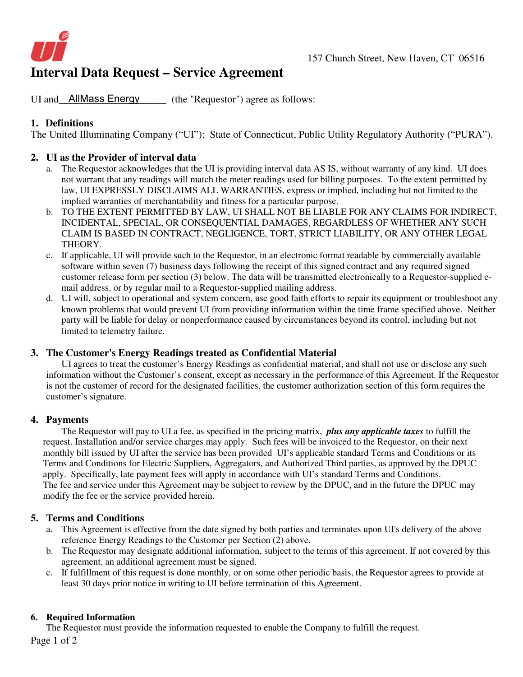

# **Interval Data Request – Service Agreement**

UI and AllMass Energy (the "Requestor") agree as follows:

### **1. Definitions**

The United Illuminating Company ("UI"); State of Connecticut, Public Utility Regulatory Authority ("PURA").

#### **2. UI as the Provider of interval data**

- a. The Requestor acknowledges that the UI is providing interval data AS IS, without warranty of any kind. UI does not warrant that any readings will match the meter readings used for billing purposes. To the extent permitted by law, UI EXPRESSLY DISCLAIMS ALL WARRANTIES, express or implied, including but not limited to the implied warranties of merchantability and fitness for a particular purpose.
- b. TO THE EXTENT PERMITTED BY LAW, UI SHALL NOT BE LIABLE FOR ANY CLAIMS FOR INDIRECT, INCIDENTAL, SPECIAL, OR CONSEQUENTIAL DAMAGES, REGARDLESS OF WHETHER ANY SUCH CLAIM IS BASED IN CONTRACT, NEGLIGENCE, TORT, STRICT LIABILITY, OR ANY OTHER LEGAL THEORY.
- c. If applicable, UI will provide such to the Requestor, in an electronic format readable by commercially available software within seven (7) business days following the receipt of this signed contract and any required signed customer release form per section (3) below. The data will be transmitted electronically to a Requestor-supplied email address, or by regular mail to a Requestor-supplied mailing address.
- d. UI will, subject to operational and system concern, use good faith efforts to repair its equipment or troubleshoot any known problems that would prevent UI from providing information within the time frame specified above. Neither party will be liable for delay or nonperformance caused by circumstances beyond its control, including but not limited to telemetry failure.

#### **3. The Customer's Energy Readings treated as Confidential Material**

 UI agrees to treat the **c**ustomer's Energy Readings as confidential material, and shall not use or disclose any such information without the Customer's consent, except as necessary in the performance of this Agreement. If the Requestor is not the customer of record for the designated facilities, the customer authorization section of this form requires the customer's signature.

#### **4. Payments**

The Requestor will pay to UI a fee, as specified in the pricing matrix, *plus any applicable taxes* to fulfill the request. Installation and/or service charges may apply. Such fees will be invoiced to the Requestor, on their next monthly bill issued by UI after the service has been provided UI's applicable standard Terms and Conditions or its Terms and Conditions for Electric Suppliers, Aggregators, and Authorized Third parties, as approved by the DPUC apply. Specifically, late payment fees will apply in accordance with UI's standard Terms and Conditions. The fee and service under this Agreement may be subject to review by the DPUC, and in the future the DPUC may modify the fee or the service provided herein.

#### **5. Terms and Conditions**

- a. This Agreement is effective from the date signed by both parties and terminates upon UI's delivery of the above reference Energy Readings to the Customer per Section (2) above.
- b. The Requestor may designate additional information, subject to the terms of this agreement. If not covered by this agreement, an additional agreement must be signed.
- c. If fulfillment of this request is done monthly, or on some other periodic basis, the Requestor agrees to provide at least 30 days prior notice in writing to UI before termination of this Agreement.

#### **6. Required Information**

The Requestor must provide the information requested to enable the Company to fulfill the request.